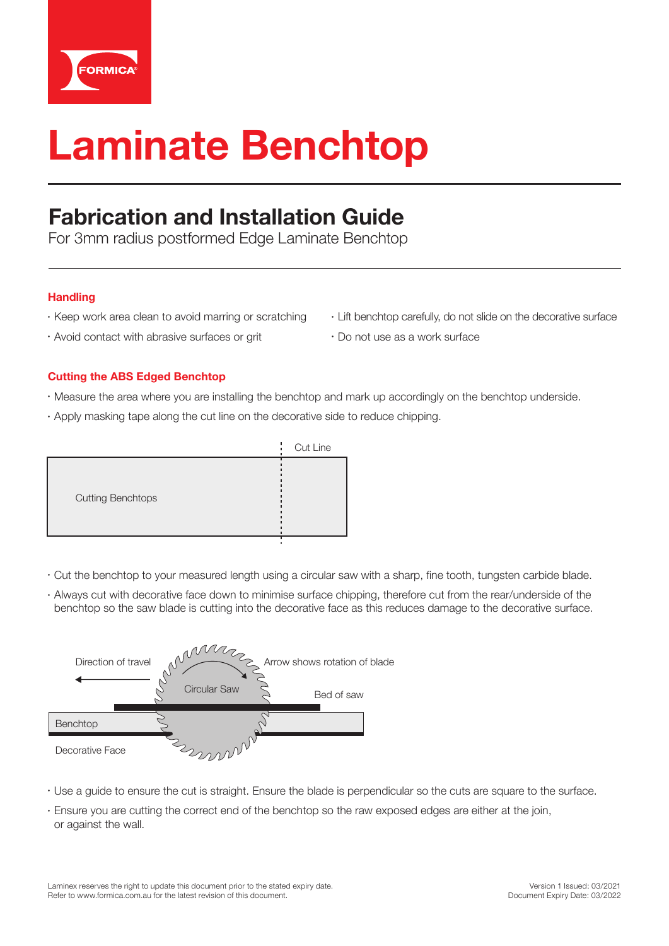

# **Laminate Benchtop**

## **Fabrication and Installation Guide**

For 3mm radius postformed Edge Laminate Benchtop

#### **Handling**

- Keep work area clean to avoid marring or scratching
- Avoid contact with abrasive surfaces or grit
- Lift benchtop carefully, do not slide on the decorative surface
- Do not use as a work surface

#### **Cutting the ABS Edged Benchtop**

- Measure the area where you are installing the benchtop and mark up accordingly on the benchtop underside.
- Apply masking tape along the cut line on the decorative side to reduce chipping.



- Cut the benchtop to your measured length using a circular saw with a sharp, fine tooth, tungsten carbide blade.
- Always cut with decorative face down to minimise surface chipping, therefore cut from the rear/underside of the benchtop so the saw blade is cutting into the decorative face as this reduces damage to the decorative surface.



- Use a guide to ensure the cut is straight. Ensure the blade is perpendicular so the cuts are square to the surface.
- Ensure you are cutting the correct end of the benchtop so the raw exposed edges are either at the join, or against the wall.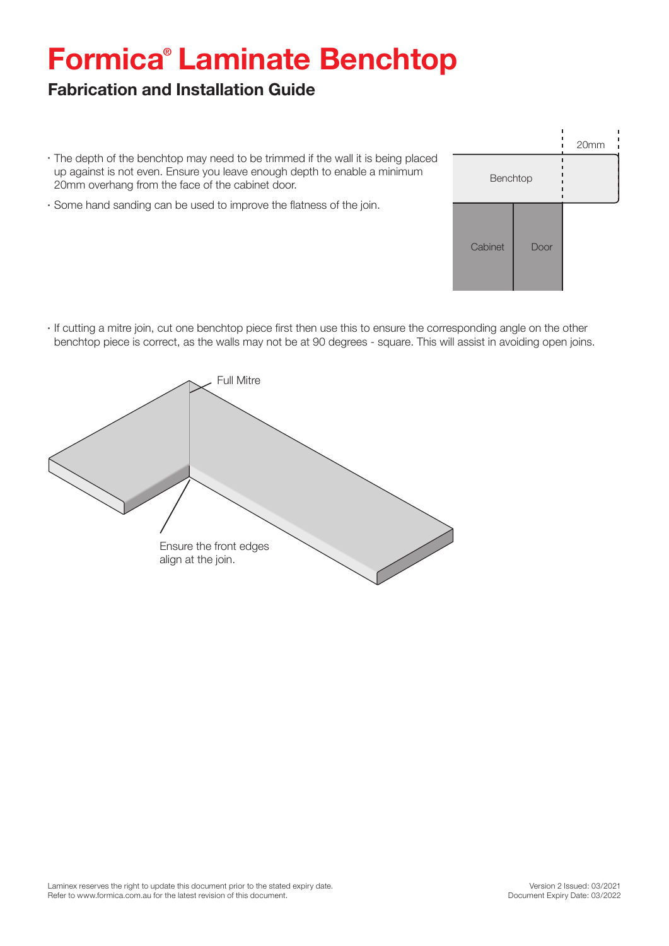## **Formica® Laminate Benchtop**

### **Fabrication and Installation Guide**

- The depth of the benchtop may need to be trimmed if the wall it is being placed up against is not even. Ensure you leave enough depth to enable a minimum 20mm overhang from the face of the cabinet door.
- Some hand sanding can be used to improve the flatness of the join.
- Benchtop Cabinet Door 20mm
- If cutting a mitre join, cut one benchtop piece first then use this to ensure the corresponding angle on the other benchtop piece is correct, as the walls may not be at 90 degrees - square. This will assist in avoiding open joins.

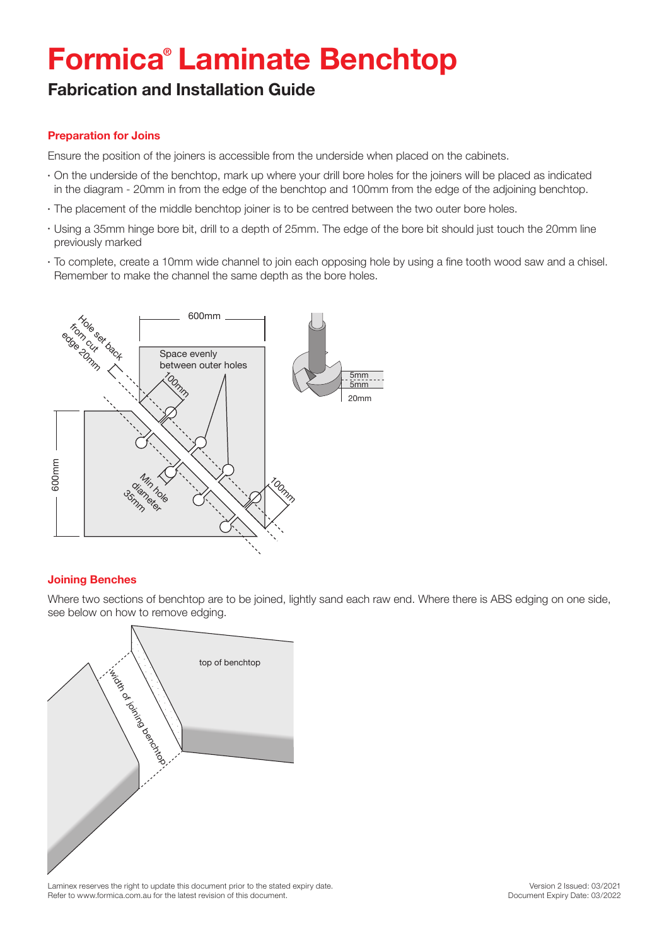## **Formica® Laminate Benchtop**

### **Fabrication and Installation Guide**

#### **Preparation for Joins**

Ensure the position of the joiners is accessible from the underside when placed on the cabinets.

- On the underside of the benchtop, mark up where your drill bore holes for the joiners will be placed as indicated in the diagram - 20mm in from the edge of the benchtop and 100mm from the edge of the adjoining benchtop.
- The placement of the middle benchtop joiner is to be centred between the two outer bore holes.
- Using a 35mm hinge bore bit, drill to a depth of 25mm. The edge of the bore bit should just touch the 20mm line previously marked
- To complete, create a 10mm wide channel to join each opposing hole by using a fine tooth wood saw and a chisel. Remember to make the channel the same depth as the bore holes.



#### **Joining Benches**

Where two sections of benchtop are to be joined, lightly sand each raw end. Where there is ABS edging on one side, see below on how to remove edging.



Laminex reserves the right to update this document prior to the stated expiry date. Refer to www.formica.com.au for the latest revision of this document.